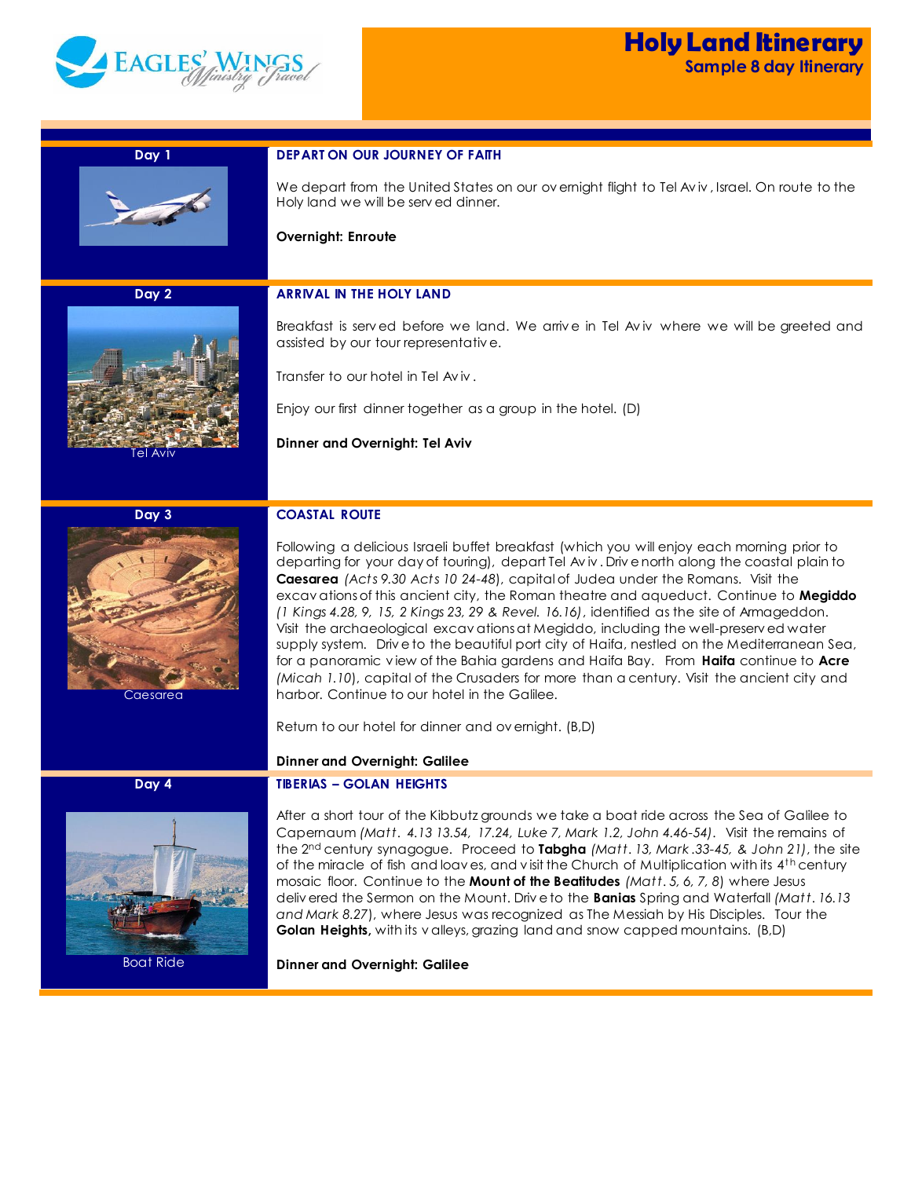

| Day 1            | <b>DEPART ON OUR JOURNEY OF FAITH</b>                                                                                                                                                                                                                                                                                                                                                                                                                                                                                                                                                                                                                                                                                                                                                                                                                                                                |
|------------------|------------------------------------------------------------------------------------------------------------------------------------------------------------------------------------------------------------------------------------------------------------------------------------------------------------------------------------------------------------------------------------------------------------------------------------------------------------------------------------------------------------------------------------------------------------------------------------------------------------------------------------------------------------------------------------------------------------------------------------------------------------------------------------------------------------------------------------------------------------------------------------------------------|
|                  | We depart from the United States on our overnight flight to Tel Aviv, Israel. On route to the<br>Holy land we will be served dinner.                                                                                                                                                                                                                                                                                                                                                                                                                                                                                                                                                                                                                                                                                                                                                                 |
|                  | Overnight: Enroute                                                                                                                                                                                                                                                                                                                                                                                                                                                                                                                                                                                                                                                                                                                                                                                                                                                                                   |
|                  |                                                                                                                                                                                                                                                                                                                                                                                                                                                                                                                                                                                                                                                                                                                                                                                                                                                                                                      |
| Day 2            | <b>ARRIVAL IN THE HOLY LAND</b>                                                                                                                                                                                                                                                                                                                                                                                                                                                                                                                                                                                                                                                                                                                                                                                                                                                                      |
|                  | Breakfast is served before we land. We arrive in Tel Aviv where we will be greeted and<br>assisted by our tour representative.                                                                                                                                                                                                                                                                                                                                                                                                                                                                                                                                                                                                                                                                                                                                                                       |
|                  | Transfer to our hotel in Tel Aviv.                                                                                                                                                                                                                                                                                                                                                                                                                                                                                                                                                                                                                                                                                                                                                                                                                                                                   |
|                  | Enjoy our first dinner together as a group in the hotel. (D)                                                                                                                                                                                                                                                                                                                                                                                                                                                                                                                                                                                                                                                                                                                                                                                                                                         |
| iel Aviv         | Dinner and Overnight: Tel Aviv                                                                                                                                                                                                                                                                                                                                                                                                                                                                                                                                                                                                                                                                                                                                                                                                                                                                       |
|                  |                                                                                                                                                                                                                                                                                                                                                                                                                                                                                                                                                                                                                                                                                                                                                                                                                                                                                                      |
|                  |                                                                                                                                                                                                                                                                                                                                                                                                                                                                                                                                                                                                                                                                                                                                                                                                                                                                                                      |
| Day 3            | <b>COASTAL ROUTE</b>                                                                                                                                                                                                                                                                                                                                                                                                                                                                                                                                                                                                                                                                                                                                                                                                                                                                                 |
| Caesarea         | Following a delicious Israeli buffet breakfast (which you will enjoy each morning prior to<br>departing for your day of touring), depart Tel Aviv. Drive north along the coastal plain to<br>Caesarea (Acts 9.30 Acts 10 24-48), capital of Judea under the Romans. Visit the<br>excavations of this ancient city, the Roman theatre and aqueduct. Continue to Megiddo<br>$(1$ Kings 4.28, 9, 15, 2 Kings 23, 29 & Revel. 16.16), identified as the site of Armageddon.<br>Visit the archaeological excavations at Megiddo, including the well-preserved water<br>supply system. Drive to the beautiful port city of Haifa, nestled on the Mediterranean Sea,<br>for a panoramic view of the Bahia gardens and Haifa Bay. From Haifa continue to Acre<br>(Micah 1.10), capital of the Crusaders for more than a century. Visit the ancient city and<br>harbor. Continue to our hotel in the Galilee. |
|                  | Return to our hotel for dinner and overnight. (B,D)                                                                                                                                                                                                                                                                                                                                                                                                                                                                                                                                                                                                                                                                                                                                                                                                                                                  |
|                  | <b>Dinner and Overnight: Galilee</b>                                                                                                                                                                                                                                                                                                                                                                                                                                                                                                                                                                                                                                                                                                                                                                                                                                                                 |
| Day 4            | <b>TIBERIAS - GOLAN HEIGHTS</b>                                                                                                                                                                                                                                                                                                                                                                                                                                                                                                                                                                                                                                                                                                                                                                                                                                                                      |
|                  | After a short tour of the Kibbutz grounds we take a boat ride across the Sea of Galilee to<br>Capernaum (Matt. 4.13 13.54, 17.24, Luke 7, Mark 1.2, John 4.46-54). Visit the remains of<br>the 2 <sup>nd</sup> century synagogue. Proceed to <b>Tabgha</b> (Matt. 13, Mark.33-45, & John 21), the site<br>of the miracle of fish and loaves, and visit the Church of Multiplication with its 4 <sup>th</sup> century<br>mosaic floor. Continue to the Mount of the Beatitudes (Matt. 5, 6, 7, 8) where Jesus<br>delivered the Sermon on the Mount. Drive to the <b>Banias</b> Spring and Waterfall (Matt. 16.13<br>and Mark 8.27), where Jesus was recognized as The Messiah by His Disciples. Tour the<br>Golan Heights, with its valleys, grazing land and snow capped mountains. (B,D)                                                                                                            |
| <b>Boat Ride</b> | <b>Dinner and Overnight: Galilee</b>                                                                                                                                                                                                                                                                                                                                                                                                                                                                                                                                                                                                                                                                                                                                                                                                                                                                 |